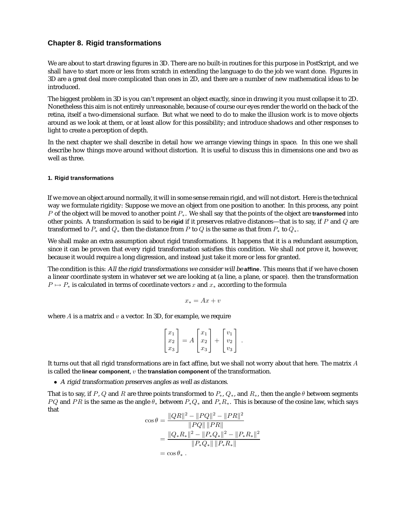# **Chapter 8. Rigid transformations**

We are about to start drawing figures in 3D. There are no built-in routines for this purpose in PostScript, and we shall have to start more or less from scratch in extending the language to do the job we want done. Figures in 3D are a great deal more complicated than ones in 2D, and there are a number of new mathematical ideas to be introduced.

The biggest problem in 3D is you can't represent an object exactly, since in drawing it you must collapse it to 2D. Nonetheless this aim is not entirely unreasonable, because of course our eyes render the world on the back of the retina, itself a two-dimensional surface. But what we need to do to make the illusion work is to move objects around as we look at them, or at least allow for this possibility; and introduce shadows and other responses to light to create a perception of depth.

In the next chapter we shall describe in detail how we arrange viewing things in space. In this one we shall describe how things move around without distortion. It is useful to discuss this in dimensions one and two as well as three.

# **1. Rigid transformations**

If we move an object around normally, it will in some sense remain rigid, and will not distort. Here is the technical way we formulate rigidity: Suppose we move an object from one position to another. In this process, any point <sup>P</sup> of the object will be moved to another point <sup>P</sup>∗. We shall say that the points of the object are **transformed** into other points. A transformation is said to be **rigid** if it preserves relative distances—that is to say, if P and Q are transformed to  $P_*$  and  $Q_*$  then the distance from P to Q is the same as that from  $P_*$  to  $Q_*$ .

We shall make an extra assumption about rigid transformations. It happens that it is a redundant assumption, since it can be proven that every rigid transformation satisfies this condition. We shall not prove it, however, because it would require a long digression, and instead just take it more or less for granted.

The condition is this: All the rigid transformations we consider will be **affine**. This means that if we have chosen a linear coordinate system in whatever set we are looking at (a line, a plane, or space). then the transformation  $P \mapsto P_*$  is calculated in terms of coordinate vectors x and  $x_*$  according to the formula

$$
x_*=Ax+v
$$

where  $A$  is a matrix and  $v$  a vector. In 3D, for example, we require

$$
\begin{bmatrix} x_1 \\ x_2 \\ x_3 \end{bmatrix} = A \begin{bmatrix} x_1 \\ x_2 \\ x_3 \end{bmatrix} + \begin{bmatrix} v_1 \\ v_2 \\ v_3 \end{bmatrix}.
$$

It turns out that all rigid transformations are in fact affine, but we shall not worry about that here. The matrix A is called the **linear component**, v the **translation component** of the transformation.

• <sup>A</sup> rigid transformation preserves angles as well as distances.

That is to say, if P, Q and R are three points transformed to  $P_*, Q_*,$  and  $R_*,$  then the angle  $\theta$  between segments PQ and PR is the same as the angle  $\theta_*$  between  $P_*Q_*$  and  $P_*R_*$ . This is because of the cosine law, which says that

$$
\cos \theta = \frac{\|QR\|^2 - \|PQ\|^2 - \|PR\|^2}{\|PQ\| \|PR\|}
$$

$$
= \frac{\|Q_* R_*\|^2 - \|P_* Q_*\|^2 - \|P_* R_*\|^2}{\|P_* Q_*\| \|P_* R_*\|}
$$

$$
= \cos \theta_* .
$$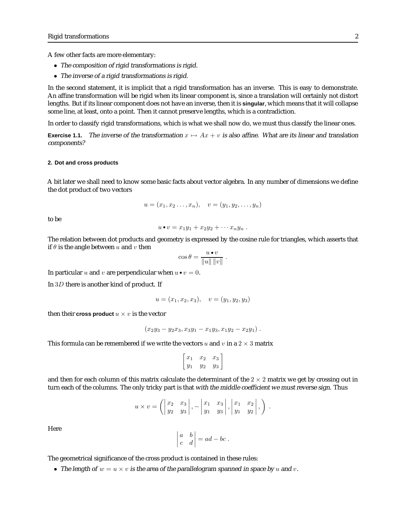A few other facts are more elementary:

- The composition of rigid transformations is rigid.
- The inverse of <sup>a</sup> rigid transformations is rigid.

In the second statement, it is implicit that a rigid transformation has an inverse. This is easy to demonstrate. An affine transformation will be rigid when its linear component is, since a translation will certainly not distort lengths. But if its linear component does not have an inverse, then it is **singular**, which means that it will collapse some line, at least, onto a point. Then it cannot preserve lengths, which is a contradiction.

In order to classify rigid transformations, which is what we shall now do, we must thus classify the linear ones.

**Exercise 1.1.** The inverse of the transformation  $x \mapsto Ax + v$  is also affine. What are its linear and translation components?

## **2. Dot and cross products**

A bit later we shall need to know some basic facts about vector algebra. In any number of dimensions we define the dot product of two vectors

$$
u = (x_1, x_2, \ldots, x_n), \quad v = (y_1, y_2, \ldots, y_n)
$$

to be

$$
u\bullet v=x_1y_1+x_2y_2+\cdots x_ny_n.
$$

The relation between dot products and geometry is expressed by the cosine rule for triangles, which asserts that if  $\theta$  is the angle between u and v then

$$
\cos\theta = \frac{u \bullet v}{\|u\| \|v\|}.
$$

In particular u and v are perpendicular when  $u \bullet v = 0$ .

In 3D there is another kind of product. If

$$
u = (x_1, x_2, x_3), \quad v = (y_1, y_2, y_3)
$$

then their **cross product**  $u \times v$  is the vector

$$
(x_2y_3 - y_2x_3, x_3y_1 - x_1y_3, x_1y_2 - x_2y_1).
$$

This formula can be remembered if we write the vectors u and v in a  $2 \times 3$  matrix

$$
\begin{bmatrix} x_1 & x_2 & x_3 \ y_1 & y_2 & y_3 \end{bmatrix}
$$

and then for each column of this matrix calculate the determinant of the  $2 \times 2$  matrix we get by crossing out in turn each of the columns. The only tricky part is that with the middle coefficient we must reverse sign. Thus

$$
u \times v = \left( \begin{vmatrix} x_2 & x_3 \\ y_2 & y_3 \end{vmatrix}, -\begin{vmatrix} x_1 & x_3 \\ y_1 & y_3 \end{vmatrix}, \begin{vmatrix} x_1 & x_2 \\ y_1 & y_2 \end{vmatrix}, \right).
$$

Here

$$
\begin{vmatrix} a & b \\ c & d \end{vmatrix} = ad - bc.
$$

The geometrical significance of the cross product is contained in these rules:

• The length of  $w = u \times v$  is the area of the parallelogram spanned in space by u and v.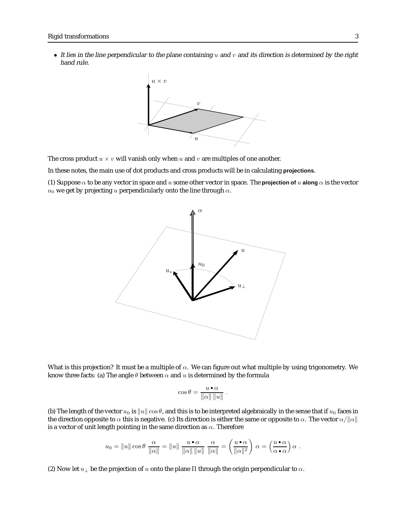• It lies in the line perpendicular to the plane containing  $u$  and  $v$  and its direction is determined by the right hand rule.



The cross product  $u \times v$  will vanish only when u and v are multiples of one another.

In these notes, the main use of dot products and cross products will be in calculating **projections**.

(1) Suppose  $\alpha$  to be any vector in space and u some other vector in space. The **projection of** u **along**  $\alpha$  is the vector  $u_0$  we get by projecting u perpendicularly onto the line through  $\alpha$ .



What is this projection? It must be a multiple of  $\alpha$ . We can figure out what multiple by using trigonometry. We know three facts: (a) The angle  $\theta$  between  $\alpha$  and  $u$  is determined by the formula

$$
\cos\theta = \frac{u \bullet \alpha}{\|\alpha\| \|u\|} .
$$

(b) The length of the vector  $u_0$  is  $||u||\cos\theta$ , and this is to be interpreted algebraically in the sense that if  $u_0$  faces in the direction opposite to  $\alpha$  this is negative. (c) Its direction is either the same or opposite to  $\alpha$ . The vector  $\alpha/||\alpha||$ is a vector of unit length pointing in the same direction as  $\alpha$ . Therefore

$$
u_0 = ||u|| \cos \theta \frac{\alpha}{\|\alpha\|} = ||u|| \frac{u \cdot \alpha}{\|\alpha\| ||u||} \frac{\alpha}{\|\alpha\|} = \left(\frac{u \cdot \alpha}{\|\alpha\|^2}\right) \alpha = \left(\frac{u \cdot \alpha}{\alpha \cdot \alpha}\right) \alpha.
$$

(2) Now let  $u_{\perp}$  be the projection of u onto the plane  $\Pi$  through the origin perpendicular to  $\alpha$ .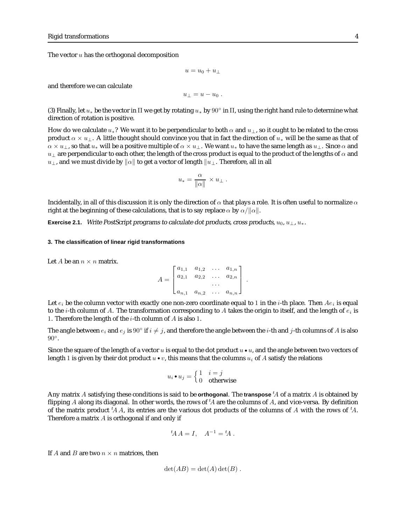The vector  $u$  has the orthogonal decomposition

$$
u=u_0+u_\perp
$$

and therefore we can calculate

$$
u_{\perp}=u-u_0.
$$

(3) Finally, let  $u_*$  be the vector in  $\Pi$  we get by rotating  $u_*$  by  $90^\circ$  in  $\Pi$ , using the right hand rule to determine what direction of rotation is positive.

How do we calculate  $u_*$ ? We want it to be perpendicular to both  $\alpha$  and  $u_{\perp}$ , so it ought to be related to the cross product  $\alpha \times u_{\perp}$ . A little thought should convince you that in fact the direction of  $u_*$  will be the same as that of  $\alpha \times u_1$ , so that  $u_*$  will be a positive multiple of  $\alpha \times u_1$ . We want  $u_*$  to have the same length as  $u_1$ . Since  $\alpha$  and  $u_{\perp}$  are perpendicular to each other, the length of the cross product is equal to the product of the lengths of  $\alpha$  and  $u_{\perp}$ , and we must divide by  $||\alpha||$  to get a vector of length  $||u_{\perp}$ . Therefore, all in all

$$
u_* = \frac{\alpha}{\|\alpha\|} \times u_\perp .
$$

Incidentally, in all of this discussion it is only the direction of  $\alpha$  that plays a role. It is often useful to normalize  $\alpha$ right at the beginning of these calculations, that is to say replace  $\alpha$  by  $\alpha/||\alpha||$ .

**Exercise 2.1.** Write PostScript programs to calculate dot products, cross products,  $u_0, u_1, u_*$ .

#### **3. The classification of linear rigid transformations**

Let *A* be an  $n \times n$  matrix.

$$
A = \begin{bmatrix} a_{1,1} & a_{1,2} & \dots & a_{1,n} \\ a_{2,1} & a_{2,2} & \dots & a_{2,n} \\ \vdots & \vdots & \ddots & \vdots \\ a_{n,1} & a_{n,2} & \dots & a_{n,n} \end{bmatrix}.
$$

Let  $e_i$  be the column vector with exactly one non-zero coordinate equal to 1 in the *i*-th place. Then  $Ae_i$  is equal to the *i*-th column of A. The transformation corresponding to A takes the origin to itself, and the length of  $e_i$  is 1. Therefore the length of the *i*-th column of  $A$  is also 1.

The angle between  $e_i$  and  $e_j$  is 90° if  $i \neq j$ , and therefore the angle between the *i*-th and *j*-th columns of A is also 90◦.

Since the square of the length of a vector u is equal to the dot product  $u \cdot u$ , and the angle between two vectors of length 1 is given by their dot product  $u \cdot v$ , this means that the columns  $u_i$  of A satisfy the relations

$$
u_i \bullet u_j = \begin{cases} 1 & i = j \\ 0 & \text{otherwise} \end{cases}
$$

Any matrix A satisfying these conditions is said to be **orthogonal**. The transpose <sup>t</sup>A of a matrix A is obtained by flipping A along its diagonal. In other words, the rows of  ${}^tA$  are the columns of A, and vice-versa. By definition of the matrix product  ${}^t\!A A$ , its entries are the various dot products of the columns of A with the rows of  ${}^t\!A$ . Therefore a matrix  $A$  is orthogonal if and only if

$$
{}^t\!A A = I, \quad A^{-1} = {}^t\!A.
$$

If A and B are two  $n \times n$  matrices, then

$$
\det(AB) = \det(A)\det(B) .
$$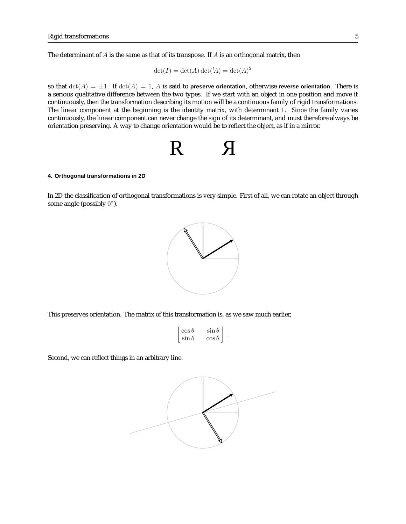The determinant of  $A$  is the same as that of its transpose. If  $A$  is an orthogonal matrix, then

$$
\det(I) = \det(A)\det({}^tA) = \det(A)^2
$$

so that  $\det(A) = \pm 1$ . If  $\det(A) = 1$ , A is said to **preserve orientation**, otherwise **reverse orientation**. There is a serious qualitative difference between the two types. If we start with an object in one position and move it continuously, then the transformation describing its motion will be a continuous family of rigid transformations. The linear component at the beginning is the identity matrix, with determinant 1. Since the family varies continuously, the linear component can never change the sign of its determinant, and must therefore always be orientation preserving. A way to change orientation would be to reflect the object, as if in a mirror.

$$
R \qquad \text{A}
$$

## **4. Orthogonal transformations in 2D**

In 2D the classification of orthogonal transformations is very simple. First of all, we can rotate an object through some angle (possibly  $0^\circ$ ).



This preserves orientation. The matrix of this transformation is, as we saw much earlier,

$$
\begin{bmatrix}\n\cos\theta & -\sin\theta \\
\sin\theta & \cos\theta\n\end{bmatrix}.
$$

Second, we can reflect things in an arbitrary line.

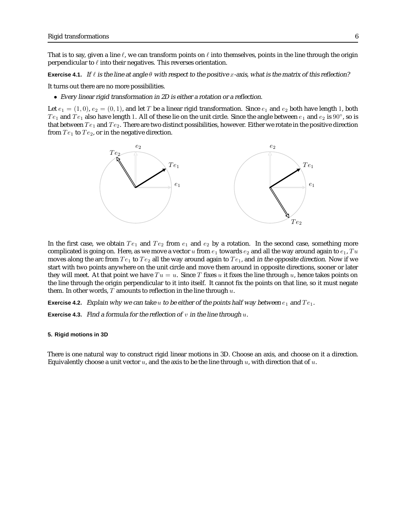That is to say, given a line  $\ell$ , we can transform points on  $\ell$  into themselves, points in the line through the origin perpendicular to  $\ell$  into their negatives. This reverses orientation.

**Exercise 4.1.** If  $\ell$  is the line at angle  $\theta$  with respect to the positive x-axis, what is the matrix of this reflection?

It turns out there are no more possibilities.

• Every linear rigid transformation in 2D is either <sup>a</sup> rotation or <sup>a</sup> reflection.

Let  $e_1 = (1,0), e_2 = (0,1)$ , and let T be a linear rigid transformation. Since  $e_1$  and  $e_2$  both have length 1, both  $Te_1$  and  $Te_1$  also have length 1. All of these lie on the unit circle. Since the angle between  $e_1$  and  $e_2$  is  $90°$ , so is that between  $Te_1$  and  $Te_2$ . There are two distinct possibilities, however. Either we rotate in the positive direction from  $Te_1$  to  $Te_2$ , or in the negative direction.



In the first case, we obtain  $Te_1$  and  $Te_2$  from  $e_1$  and  $e_2$  by a rotation. In the second case, something more complicated is going on. Here, as we move a vector u from  $e_1$  towards  $e_2$  and all the way around again to  $e_1$ , Tu moves along the arc from  $Te_1$  to  $Te_2$  all the way around again to  $Te_1$ , and in the opposite direction. Now if we start with two points anywhere on the unit circle and move them around in opposite directions, sooner or later they will meet. At that point we have  $Tu = u$ . Since T fixes u it fixes the line through u, hence takes points on the line through the origin perpendicular to it into itself. It cannot fix the points on that line, so it must negate them. In other words,  $T$  amounts to reflection in the line through  $u$ .

**Exercise 4.2.** Explain why we can take u to be either of the points half way between  $e_1$  and  $Te_1$ .

**Exercise 4.3.** Find a formula for the reflection of  $v$  in the line through  $u$ .

#### **5. Rigid motions in 3D**

There is one natural way to construct rigid linear motions in 3D. Choose an axis, and choose on it a direction. Equivalently choose a unit vector  $u$ , and the axis to be the line through  $u$ , with direction that of  $u$ .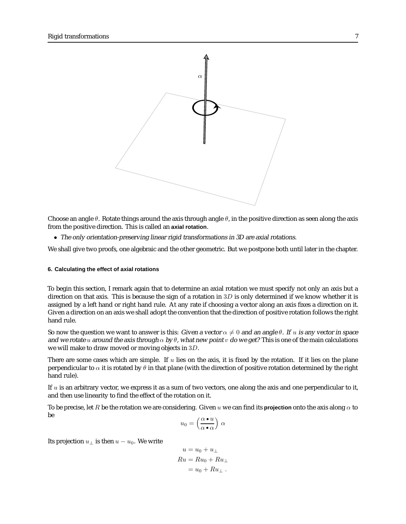

Choose an angle  $\theta$ . Rotate things around the axis through angle  $\theta$ , in the positive direction as seen along the axis from the positive direction. This is called an **axial rotation**.

• The only orientation-preserving linear rigid transformations in 3D are axial rotations.

We shall give two proofs, one algebraic and the other geometric. But we postpone both until later in the chapter.

## **6. Calculating the effect of axial rotations**

To begin this section, I remark again that to determine an axial rotation we must specify not only an axis but a direction on that axis. This is because the sign of a rotation in  $3D$  is only determined if we know whether it is assigned by a left hand or right hand rule. At any rate if choosing a vector along an axis fixes a direction on it. Given a direction on an axis we shall adopt the convention that the direction of positive rotation follows the right hand rule.

So now the question we want to answer is this: Given a vector  $\alpha \neq 0$  and an angle  $\theta$ . If u is any vector in space and we rotate u around the axis through  $\alpha$  by  $\theta$ , what new point v do we get? This is one of the main calculations we will make to draw moved or moving objects in 3D.

There are some cases which are simple. If  $u$  lies on the axis, it is fixed by the rotation. If it lies on the plane perpendicular to  $\alpha$  it is rotated by  $\theta$  in that plane (with the direction of positive rotation determined by the right hand rule).

If  $u$  is an arbitrary vector, we express it as a sum of two vectors, one along the axis and one perpendicular to it, and then use linearity to find the effect of the rotation on it.

To be precise, let R be the rotation we are considering. Given u we can find its **projection** onto the axis along  $\alpha$  to be

$$
u_0 = \left(\frac{\alpha \bullet u}{\alpha \bullet \alpha}\right) \alpha
$$

Its projection  $u_⊥$  is then  $u - u_0$ . We write

$$
u = u_0 + u_{\perp}
$$
  
\n
$$
Ru = Ru_0 + Ru_{\perp}
$$
  
\n
$$
= u_0 + Ru_{\perp}.
$$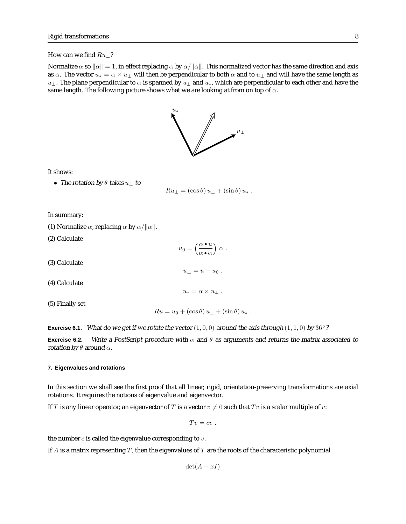#### How can we find  $Ru_{\perp}$ ?

Normalize  $\alpha$  so  $\|\alpha\|=1$ , in effect replacing  $\alpha$  by  $\alpha/\|\alpha\|$ . This normalized vector has the same direction and axis as  $\alpha$ . The vector  $u_* = \alpha \times u_{\perp}$  will then be perpendicular to both  $\alpha$  and to  $u_{\perp}$  and will have the same length as  $u_\perp$ . The plane perpendicular to  $\alpha$  is spanned by  $u_\perp$  and  $u_*,$  which are perpendicular to each other and have the same length. The following picture shows what we are looking at from on top of  $\alpha$ .



It shows:

• The rotation by  $\theta$  takes  $u_{\perp}$  to

$$
Ru_{\perp} = (\cos \theta) u_{\perp} + (\sin \theta) u_{*} .
$$

In summary:

- (1) Normalize  $\alpha$ , replacing  $\alpha$  by  $\alpha/||\alpha||$ .
- (2) Calculate

 $u_0 = \left(\frac{\alpha \bullet u}{\alpha u}\right)$  $\alpha \bullet \alpha$  $\big\}$   $\alpha$ .

 $u_{\perp} = u - u_0$ .

 $u_* = \alpha \times u_\perp$ .

- (3) Calculate
- (4) Calculate
- (5) Finally set

 $Ru = u_0 + (\cos \theta) u_{\perp} + (\sin \theta) u_{*}$ .

**Exercise 6.1.** What do we get if we rotate the vector  $(1, 0, 0)$  around the axis through  $(1, 1, 0)$  by 36°?

**Exercise 6.2.** Write a PostScript procedure with  $\alpha$  and  $\theta$  as arguments and returns the matrix associated to rotation by  $\theta$  around  $\alpha$ .

## **7. Eigenvalues and rotations**

In this section we shall see the first proof that all linear, rigid, orientation-preserving transformations are axial rotations. It requires the notions of eigenvalue and eigenvector.

If T is any linear operator, an eigenvector of T is a vector  $v \neq 0$  such that Tv is a scalar multiple of v:

 $Tv = cv$ .

the number  $c$  is called the eigenvalue corresponding to  $v$ .

If A is a matrix representing  $T$ , then the eigenvalues of  $T$  are the roots of the characteristic polynomial

 $\det(A - xI)$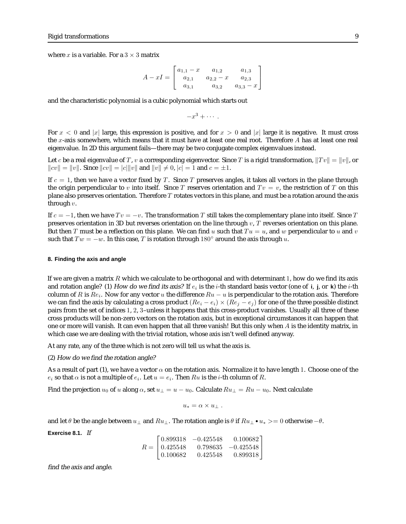where  $x$  is a variable. For a  $3 \times 3$  matrix

$$
A - xI = \begin{bmatrix} a_{1,1} - x & a_{1,2} & a_{1,3} \\ a_{2,1} & a_{2,2} - x & a_{2,3} \\ a_{3,1} & a_{3,2} & a_{3,3} - x \end{bmatrix}
$$

and the characteristic polynomial is a cubic polynomial which starts out

$$
-x^3+\cdots.
$$

For  $x < 0$  and |x| large, this expression is positive, and for  $x > 0$  and |x| large it is negative. It must cross the x-axis somewhere, which means that it must have at least one real root. Therefore A has at least one real eigenvalue. In 2D this argument fails—there may be two conjugate complex eigenvalues instead.

Let c be a real eigenvalue of T, v a corresponding eigenvector. Since T is a rigid transformation,  $||Tv|| = ||v||$ , or  $||cv|| = ||v||$ . Since  $||cv|| = |c|| ||v||$  and  $||v|| \neq 0$ ,  $|c| = 1$  and  $c = \pm 1$ .

If  $c = 1$ , then we have a vector fixed by T. Since T preserves angles, it takes all vectors in the plane through the origin perpendicular to v into itself. Since T reserves orientation and  $Tv = v$ , the restriction of T on this plane also preserves orientation. Therefore  $T$  rotates vectors in this plane, and must be a rotation around the axis through  $v$ .

If  $c = -1$ , then we have  $Tv = -v$ . The transformation T still takes the complementary plane into itself. Since T preserves orientation in 3D but reverses orientation on the line through  $v$ , T reverses orientation on this plane. But then T must be a reflection on this plane. We can find u such that  $Tu = u$ , and w perpendicular to u and v such that  $Tw = -w$ . In this case, T is rotation through 180 $\degree$  around the axis through u.

## **8. Finding the axis and angle**

If we are given a matrix R which we calculate to be orthogonal and with determinant 1, how do we find its axis and rotation angle? (1) How do we find its axis? If  $e_i$  is the i-th standard basis vector (one of  $\mathbf{i}$ ,  $\mathbf{j}$ , or  $\mathbf{k}$ ) the i-th column of R is  $Re_i$ . Now for any vector u the difference  $Ru - u$  is perpendicular to the rotation axis. Therefore we can find the axis by calculating a cross product  $(Re_i - e_i) \times (Re_j - e_j)$  for one of the three possible distinct pairs from the set of indices 1, 2, 3–unless it happens that this cross-product vanishes. Usually all three of these cross products will be non-zero vectors on the rotation axis, but in exceptional circumstances it can happen that one or more will vanish. It can even happen that all three vanish! But this only when  $A$  is the identity matrix, in which case we are dealing with the trivial rotation, whose axis isn't well defined anyway.

At any rate, any of the three which is not zero will tell us what the axis is.

(2) How do we find the rotation angle?

As a result of part (1), we have a vector  $\alpha$  on the rotation axis. Normalize it to have length 1. Choose one of the  $e_i$  so that  $\alpha$  is not a multiple of  $e_i$ . Let  $u = e_i$ . Then  $Ru$  is the *i*-th column of  $R$ .

Find the projection  $u_0$  of u along  $\alpha$ , set  $u_{\perp} = u - u_0$ . Calculate  $Ru_{\perp} = Ru - u_0$ . Next calculate

$$
u_* = \alpha \times u_\perp .
$$

and let  $\theta$  be the angle between  $u_{\perp}$  and  $Ru_{\perp}$ . The rotation angle is  $\theta$  if  $Ru_{\perp} \bullet u_* > = 0$  otherwise  $-\theta$ .

**Exercise 8.1.** If

$$
R = \begin{bmatrix} 0.899318 & -0.425548 & 0.100682 \\ 0.425548 & 0.798635 & -0.425548 \\ 0.100682 & 0.425548 & 0.899318 \end{bmatrix}
$$

find the axis and angle.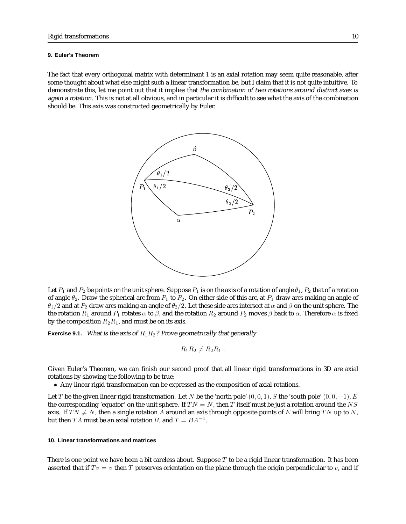#### **9. Euler's Theorem**

The fact that every orthogonal matrix with determinant 1 is an axial rotation may seem quite reasonable, after some thought about what else might such a linear transformation be, but I claim that it is not quite intuitive. To demonstrate this, let me point out that it implies that the combination of two rotations around distinct axes is again <sup>a</sup> rotation. This is not at all obvious, and in particular it is difficult to see what the axis of the combination should be. This axis was constructed geometrically by Euler.



Let  $P_1$  and  $P_2$  be points on the unit sphere. Suppose  $P_1$  is on the axis of a rotation of angle  $\theta_1$ ,  $P_2$  that of a rotation of angle  $\theta_2$ . Draw the spherical arc from  $P_1$  to  $P_2$ . On either side of this arc, at  $P_1$  draw arcs making an angle of  $\theta_1/2$  and at  $P_2$  draw arcs making an angle of  $\theta_2/2$ . Let these side arcs intersect at  $\alpha$  and  $\beta$  on the unit sphere. The the rotation  $R_1$  around  $P_1$  rotates  $\alpha$  to  $\beta$ , and the rotation  $R_2$  around  $P_2$  moves  $\beta$  back to  $\alpha$ . Therefore  $\alpha$  is fixed by the composition  $R_2R_1$ , and must be on its axis.

**Exercise 9.1.** What is the axis of  $R_1R_2$ ? Prove geometrically that generally

$$
R_1R_2 \neq R_2R_1.
$$

Given Euler's Theorem, we can finish our second proof that all linear rigid transformations in 3D are axial rotations by showing the following to be true:

• Any linear rigid transformation can be expressed as the composition of axial rotations.

Let T be the given linear rigid transformation. Let N be the 'north pole'  $(0, 0, 1)$ , S the 'south pole'  $(0, 0, -1)$ , E the corresponding 'equator' on the unit sphere. If  $TN = N$ , then T itself must be just a rotation around the NS axis. If  $TN \neq N$ , then a single rotation A around an axis through opposite points of E will bring TN up to N, but then TA must be an axial rotation B, and  $T = BA^{-1}$ .

# **10. Linear transformations and matrices**

There is one point we have been a bit careless about. Suppose  $T$  to be a rigid linear transformation. It has been asserted that if  $Tv = v$  then T preserves orientation on the plane through the origin perpendicular to v, and if